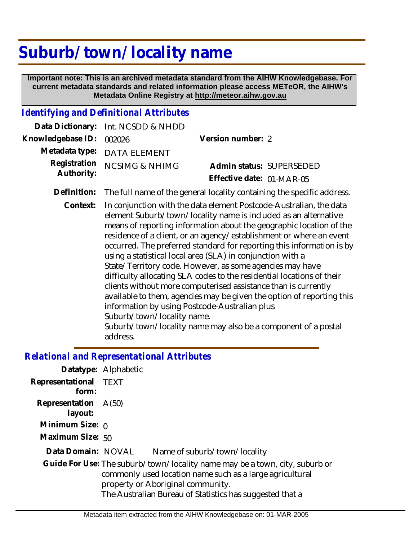# **Suburb/ town/ locality name**

 **Important note: This is an archived metadata standard from the AIHW Knowledgebase. For current metadata standards and related information please access METeOR, the AIHW's Metadata Online Registry at http://meteor.aihw.gov.au**

#### *Identifying and Definitional Attributes*

|                            | Data Dictionary: Int. NCSDD & NHDD                                                 |                           |                          |
|----------------------------|------------------------------------------------------------------------------------|---------------------------|--------------------------|
| Knowledgebase ID: 002026   |                                                                                    | Version number: 2         |                          |
|                            | Metadata type: DATA ELEMENT                                                        |                           |                          |
| Registration<br>Authority: | <b>NCSIMG &amp; NHIMG</b>                                                          |                           | Admin status: SUPERSEDED |
|                            |                                                                                    | Effective date: 01-MAR-05 |                          |
|                            | Definition: The full name of the general locality containing the specific address. |                           |                          |
| Context:                   | In conjunction with the data element Postcode Australian, the data                 |                           |                          |

In conjunction with the data element Postcode-Australian, the data element Suburb/town/locality name is included as an alternative means of reporting information about the geographic location of the residence of a client, or an agency/establishment or where an event occurred. The preferred standard for reporting this information is by using a statistical local area (SLA) in conjunction with a State/Territory code. However, as some agencies may have difficulty allocating SLA codes to the residential locations of their clients without more computerised assistance than is currently available to them, agencies may be given the option of reporting this information by using Postcode-Australian plus Suburb/town/locality name. Suburb/town/locality name may also be a component of a postal address. **Context:**

#### *Relational and Representational Attributes*

|                                 | Datatype: Alphabetic                                                                                                                                                                                                                     |
|---------------------------------|------------------------------------------------------------------------------------------------------------------------------------------------------------------------------------------------------------------------------------------|
| Representational TEXT<br>form:  |                                                                                                                                                                                                                                          |
| Representation A(50)<br>layout: |                                                                                                                                                                                                                                          |
| Minimum Size: $\rho$            |                                                                                                                                                                                                                                          |
| Maximum Size: 50                |                                                                                                                                                                                                                                          |
| Data Domain: NOVAL              | Name of suburb/town/locality                                                                                                                                                                                                             |
|                                 | Guide For Use: The suburb/town/locality name may be a town, city, suburb or<br>commonly used location name such as a large agricultural<br>property or Aboriginal community.<br>The Australian Bureau of Statistics has suggested that a |